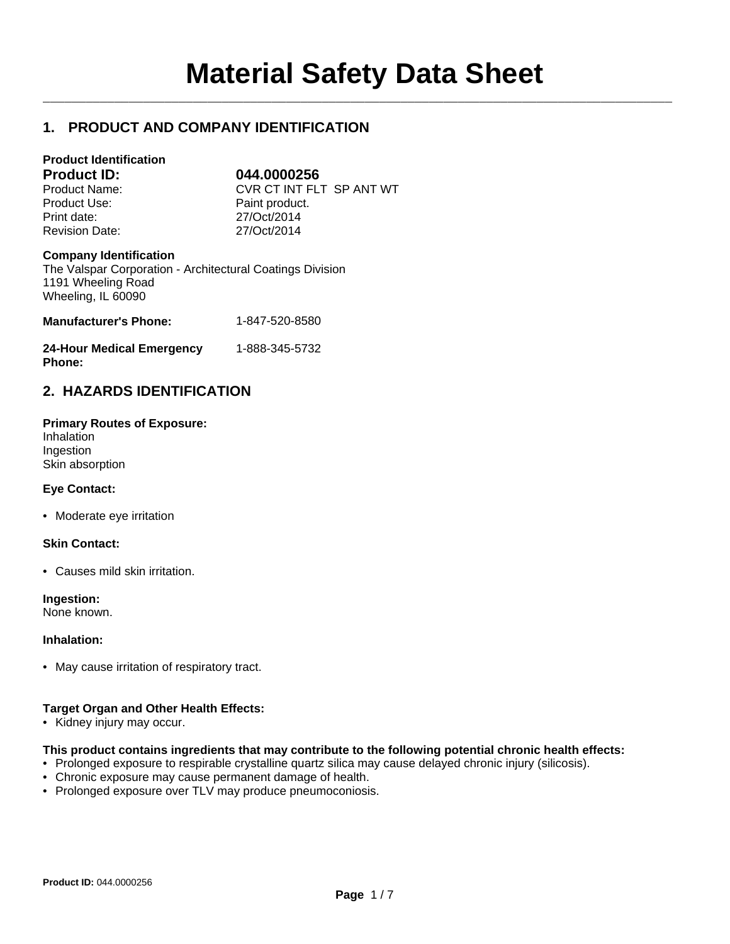$\mathcal{L}_\mathcal{L} = \mathcal{L}_\mathcal{L}$ 

# **1. PRODUCT AND COMPANY IDENTIFICATION**

| <b>Product Identification</b><br><b>Product ID:</b>                                        | 044.0000256              |
|--------------------------------------------------------------------------------------------|--------------------------|
| Product Name:                                                                              | CVR CT INT FLT SP ANT WT |
| Product Use:                                                                               | Paint product.           |
| Print date:                                                                                | 27/Oct/2014              |
| <b>Revision Date:</b>                                                                      | 27/Oct/2014              |
| <b>Company Identification</b><br>The Valspar Corporation - Architectural Coatings Division |                          |

The Valspar Corporation - Architectural Coatings Division 1191 Wheeling Road Wheeling, IL 60090

| <b>Manufacturer's Phone:</b>     | 1-847-520-8580 |
|----------------------------------|----------------|
| <b>24-Hour Medical Emergency</b> | 1-888-345-5732 |

# **2. HAZARDS IDENTIFICATION**

| <b>Primary Routes of Exposure:</b> |  |
|------------------------------------|--|
| Inhalation                         |  |
| Ingestion                          |  |
| Skin absorption                    |  |

### **Eye Contact:**

**Phone:**

• Moderate eye irritation

### **Skin Contact:**

• Causes mild skin irritation.

**Ingestion:**

None known.

### **Inhalation:**

• May cause irritation of respiratory tract.

### **Target Organ and Other Health Effects:**

• Kidney injury may occur.

### **This product contains ingredients that may contribute to the following potential chronic health effects:**

- Prolonged exposure to respirable crystalline quartz silica may cause delayed chronic injury (silicosis).
- Chronic exposure may cause permanent damage of health.
- Prolonged exposure over TLV may produce pneumoconiosis.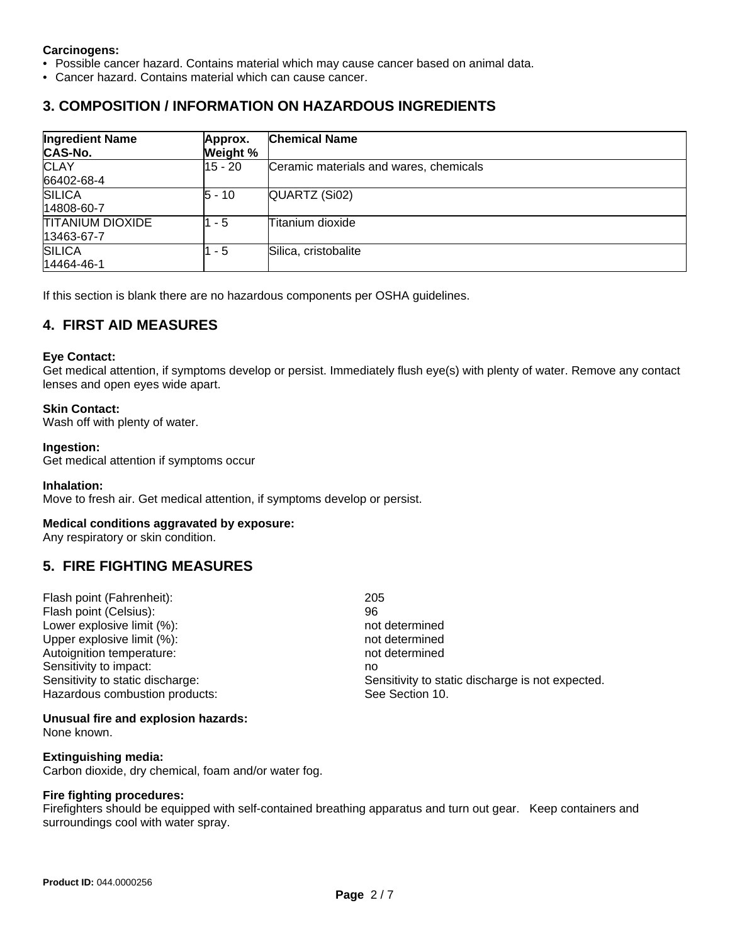### **Carcinogens:**

- Possible cancer hazard. Contains material which may cause cancer based on animal data.
- Cancer hazard. Contains material which can cause cancer.

## **3. COMPOSITION / INFORMATION ON HAZARDOUS INGREDIENTS**

| <b>Ingredient Name</b><br><b>CAS-No.</b> | Approx.<br>Weight % | <b>Chemical Name</b>                   |
|------------------------------------------|---------------------|----------------------------------------|
| <b>CLAY</b><br>66402-68-4                | $15 - 20$           | Ceramic materials and wares, chemicals |
| <b>SILICA</b><br>14808-60-7              | $5 - 10$            | QUARTZ (Si02)                          |
| <b>TITANIUM DIOXIDE</b><br>13463-67-7    | - 5                 | Titanium dioxide                       |
| <b>SILICA</b><br>14464-46-1              | - 5                 | Silica, cristobalite                   |

If this section is blank there are no hazardous components per OSHA guidelines.

## **4. FIRST AID MEASURES**

### **Eye Contact:**

Get medical attention, if symptoms develop or persist. Immediately flush eye(s) with plenty of water. Remove any contact lenses and open eyes wide apart.

#### **Skin Contact:**

Wash off with plenty of water.

#### **Ingestion:**

Get medical attention if symptoms occur

#### **Inhalation:**

Move to fresh air. Get medical attention, if symptoms develop or persist.

### **Medical conditions aggravated by exposure:**

Any respiratory or skin condition.

## **5. FIRE FIGHTING MEASURES**

| Flash point (Fahrenheit):        | 205                                              |
|----------------------------------|--------------------------------------------------|
| Flash point (Celsius):           | 96                                               |
| Lower explosive limit (%):       | not determined                                   |
| Upper explosive limit (%):       | not determined                                   |
| Autoignition temperature:        | not determined                                   |
| Sensitivity to impact:           | no                                               |
| Sensitivity to static discharge: | Sensitivity to static discharge is not expected. |
| Hazardous combustion products:   | See Section 10.                                  |
|                                  |                                                  |

### **Unusual fire and explosion hazards:**

None known.

### **Extinguishing media:**

Carbon dioxide, dry chemical, foam and/or water fog.

### **Fire fighting procedures:**

Firefighters should be equipped with self-contained breathing apparatus and turn out gear. Keep containers and surroundings cool with water spray.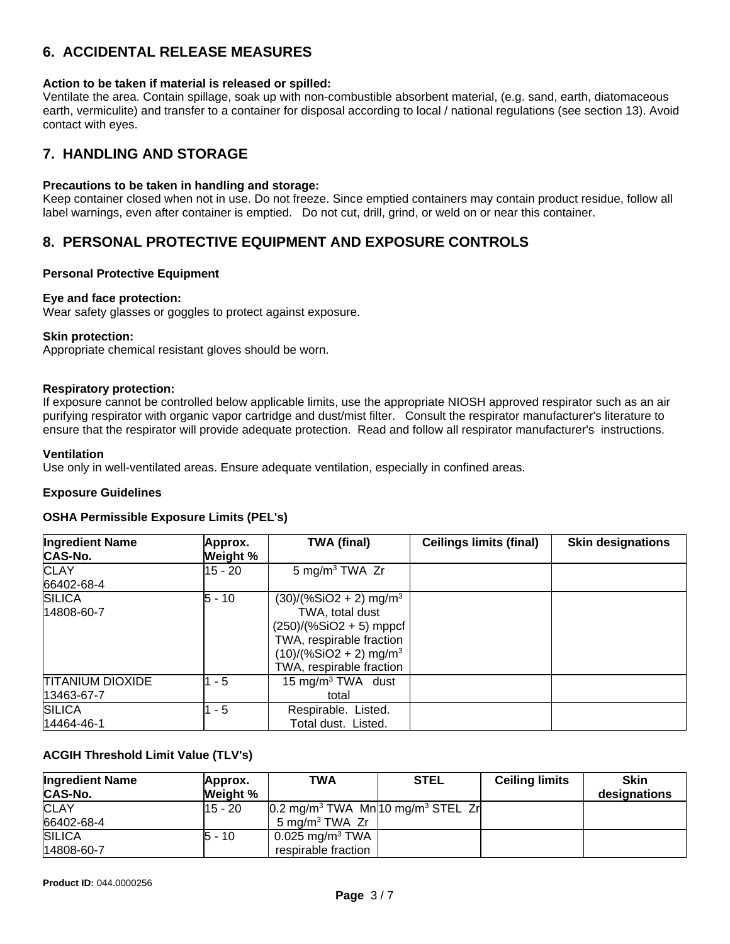# **6. ACCIDENTAL RELEASE MEASURES**

### **Action to be taken if material is released or spilled:**

Ventilate the area. Contain spillage, soak up with non-combustible absorbent material, (e.g. sand, earth, diatomaceous earth, vermiculite) and transfer to a container for disposal according to local / national regulations (see section 13). Avoid contact with eyes.

## **7. HANDLING AND STORAGE**

### **Precautions to be taken in handling and storage:**

Keep container closed when not in use. Do not freeze. Since emptied containers may contain product residue, follow all label warnings, even after container is emptied. Do not cut, drill, grind, or weld on or near this container.

# **8. PERSONAL PROTECTIVE EQUIPMENT AND EXPOSURE CONTROLS**

### **Personal Protective Equipment**

### **Eye and face protection:**

Wear safety glasses or goggles to protect against exposure.

### **Skin protection:**

Appropriate chemical resistant gloves should be worn.

### **Respiratory protection:**

If exposure cannot be controlled below applicable limits, use the appropriate NIOSH approved respirator such as an air purifying respirator with organic vapor cartridge and dust/mist filter. Consult the respirator manufacturer's literature to ensure that the respirator will provide adequate protection. Read and follow all respirator manufacturer's instructions.

#### **Ventilation**

Use only in well-ventilated areas. Ensure adequate ventilation, especially in confined areas.

### **Exposure Guidelines**

### **OSHA Permissible Exposure Limits (PEL's)**

| <b>Ingredient Name</b><br><b>CAS-No.</b> | Approx.<br>Weight % | <b>TWA (final)</b>                                                                                                                                                                   | <b>Ceilings limits (final)</b> | <b>Skin designations</b> |
|------------------------------------------|---------------------|--------------------------------------------------------------------------------------------------------------------------------------------------------------------------------------|--------------------------------|--------------------------|
| <b>CLAY</b><br>66402-68-4                | 15 - 20             | 5 mg/m <sup>3</sup> TWA Zr                                                                                                                                                           |                                |                          |
| <b>SILICA</b><br>14808-60-7              | $5 - 10$            | $(30)/(%SiO2 + 2)$ mg/m <sup>3</sup><br>TWA, total dust<br>$(250)/(%SiO2 + 5)$ mppcf<br>TWA, respirable fraction<br>$(10)/(%SiO2 + 2)$ mg/m <sup>3</sup><br>TWA, respirable fraction |                                |                          |
| <b>TITANIUM DIOXIDE</b><br>13463-67-7    | $1 - 5$             | 15 mg/m <sup>3</sup> TWA dust<br>total                                                                                                                                               |                                |                          |
| <b>SILICA</b><br>14464-46-1              | $1 - 5$             | Respirable. Listed.<br>Total dust. Listed.                                                                                                                                           |                                |                          |

### **ACGIH Threshold Limit Value (TLV's)**

| <b>Ingredient Name</b><br><b>CAS-No.</b> | Approx.<br>Weight % | TWA                                                                      | <b>STEL</b> | <b>Ceiling limits</b> | <b>Skin</b><br>designations |
|------------------------------------------|---------------------|--------------------------------------------------------------------------|-------------|-----------------------|-----------------------------|
| <b>CLAY</b>                              | $15 - 20$           | $\left 0.2\right $ mg/m <sup>3</sup> TWA Mn 10 mg/m <sup>3</sup> STEL Zr |             |                       |                             |
| 66402-68-4                               |                     | 5 mg/m <sup>3</sup> TWA $Zr$                                             |             |                       |                             |
| <b>SILICA</b>                            | 5 - 10              | $0.025$ mg/m <sup>3</sup> TWA                                            |             |                       |                             |
| 14808-60-7                               |                     | respirable fraction                                                      |             |                       |                             |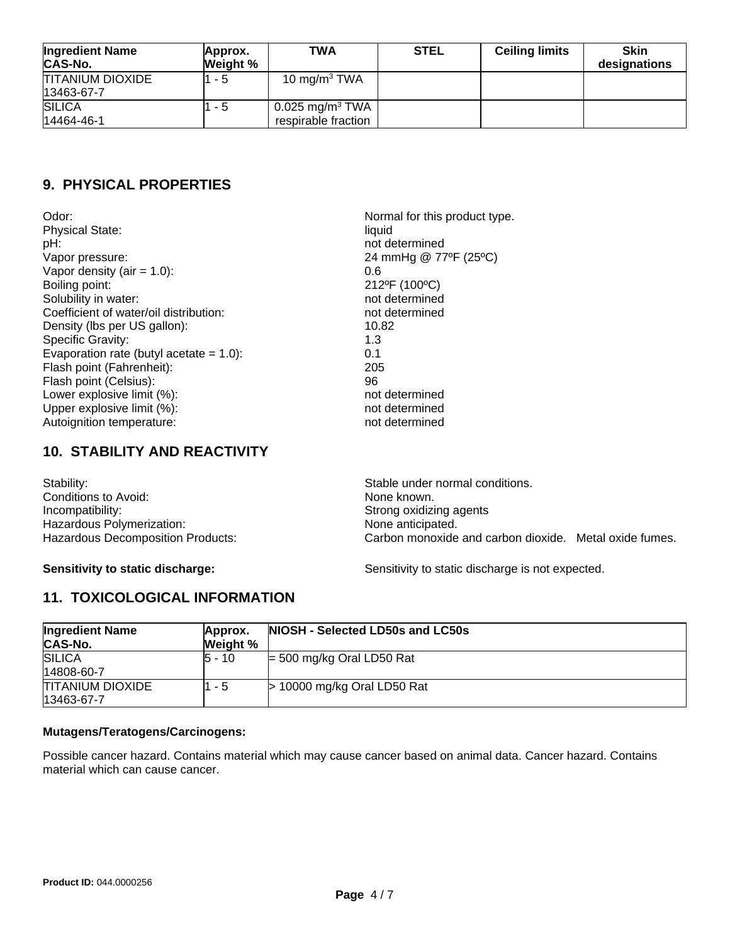| <b>Ingredient Name</b><br><b>CAS-No.</b> | Approx.<br>Weight % | TWA                                                | <b>STEL</b> | <b>Ceiling limits</b> | <b>Skin</b><br>designations |
|------------------------------------------|---------------------|----------------------------------------------------|-------------|-----------------------|-----------------------------|
| <b>TITANIUM DIOXIDE</b><br>13463-67-7    | $1 - 5$             | 10 mg/m $3$ TWA                                    |             |                       |                             |
| <b>SILICA</b><br>14464-46-1              | 1 - 5               | 0.025 mg/m <sup>3</sup> TWA<br>respirable fraction |             |                       |                             |

# **9. PHYSICAL PROPERTIES**

Odor: Normal for this product type. Physical State: liquid pH:<br>
Vapor pressure:<br>
Vapor pressure:<br>
24 mmHg @ 77 Vapor density (air = 1.0): 0.6<br>Boiling point: 212 Solubility in water: not determined Coefficient of water/oil distribution: not determined Density (lbs per US gallon): 10.82 Specific Gravity: 1.3 Evaporation rate (butyl acetate = 1.0): 0.1 Flash point (Fahrenheit): 205 Flash point (Celsius): 96<br>
Lower explosive limit (%): example and the state of the point of the point of the point of the point of the p<br>
not determined Lower explosive limit (%): Upper explosive limit (%):  $\rho$  and the state of the state of the not determined Autoignition temperature: not determined

24 mmHg @ 77ºF (25°C) 212ºF (100°C)

## **10. STABILITY AND REACTIVITY**

| Stability:                        | Stable under normal conditions.                        |
|-----------------------------------|--------------------------------------------------------|
| Conditions to Avoid:              | None known.                                            |
| Incompatibility:                  | Strong oxidizing agents                                |
| Hazardous Polymerization:         | None anticipated.                                      |
| Hazardous Decomposition Products: | Carbon monoxide and carbon dioxide. Metal oxide fumes. |

**Sensitivity to static discharge:** Sensitivity to static discharge is not expected.

# **11. TOXICOLOGICAL INFORMATION**

| <b>Ingredient Name</b><br><b>CAS-No.</b> | Approx.<br>Weight % | NIOSH - Selected LD50s and LC50s |
|------------------------------------------|---------------------|----------------------------------|
| <b>SILICA</b><br>14808-60-7              | 5 - 10              | $=$ 500 mg/kg Oral LD50 Rat      |
| <b>TITANIUM DIOXIDE</b><br>13463-67-7    | 1 - 5               | $>$ 10000 mg/kg Oral LD50 Rat    |

### **Mutagens/Teratogens/Carcinogens:**

Possible cancer hazard. Contains material which may cause cancer based on animal data. Cancer hazard. Contains material which can cause cancer.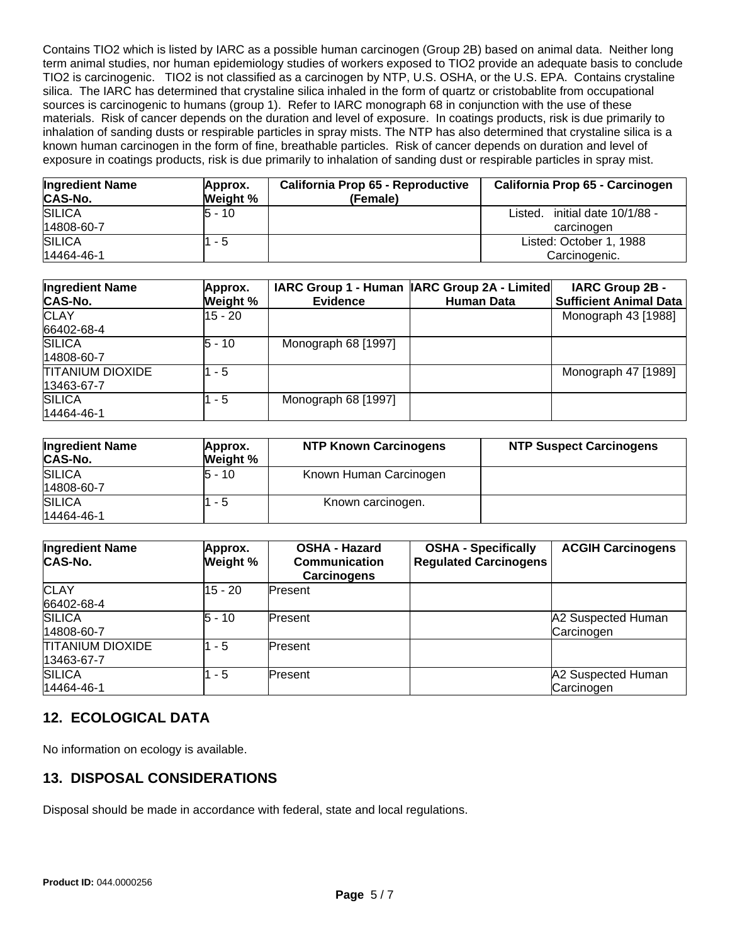Contains TIO2 which is listed by IARC as a possible human carcinogen (Group 2B) based on animal data. Neither long term animal studies, nor human epidemiology studies of workers exposed to TIO2 provide an adequate basis to conclude TIO2 is carcinogenic. TIO2 is not classified as a carcinogen by NTP, U.S. OSHA, or the U.S. EPA. Contains crystaline silica. The IARC has determined that crystaline silica inhaled in the form of quartz or cristobablite from occupational sources is carcinogenic to humans (group 1). Refer to IARC monograph 68 in conjunction with the use of these materials. Risk of cancer depends on the duration and level of exposure. In coatings products, risk is due primarily to inhalation of sanding dusts or respirable particles in spray mists. The NTP has also determined that crystaline silica is a known human carcinogen in the form of fine, breathable particles. Risk of cancer depends on duration and level of exposure in coatings products, risk is due primarily to inhalation of sanding dust or respirable particles in spray mist.

| <b>Ingredient Name</b><br><b>CAS-No.</b> | Approx.<br>Weight % | <b>California Prop 65 - Reproductive</b><br>(Female) | California Prop 65 - Carcinogen                 |
|------------------------------------------|---------------------|------------------------------------------------------|-------------------------------------------------|
| <b>SILICA</b><br>14808-60-7              | 5 - 10              |                                                      | initial date 10/1/88 -<br>Listed.<br>carcinogen |
| <b>SILICA</b><br>14464-46-1              | $1 - 5$             |                                                      | Listed: October 1, 1988<br>Carcinogenic.        |

| <b>Ingredient Name</b><br><b>CAS-No.</b> | Approx.<br>Weight % | <b>Evidence</b>     | IARC Group 1 - Human  IARC Group 2A - Limited <br><b>Human Data</b> | IARC Group 2B -<br><b>Sufficient Animal Data</b> |
|------------------------------------------|---------------------|---------------------|---------------------------------------------------------------------|--------------------------------------------------|
| <b>CLAY</b><br>66402-68-4                | $15 - 20$           |                     |                                                                     | Monograph 43 [1988]                              |
| <b>SILICA</b><br>14808-60-7              | l5 - 10             | Monograph 68 [1997] |                                                                     |                                                  |
| <b>TITANIUM DIOXIDE</b><br>13463-67-7    | $1 - 5$             |                     |                                                                     | Monograph 47 [1989]                              |
| <b>SILICA</b><br>14464-46-1              | 1 - 5               | Monograph 68 [1997] |                                                                     |                                                  |

| <b>Ingredient Name</b><br>CAS-No. | Approx.<br>Weight % | <b>NTP Known Carcinogens</b> | <b>NTP Suspect Carcinogens</b> |
|-----------------------------------|---------------------|------------------------------|--------------------------------|
| <b>SILICA</b><br>14808-60-7       | 5 - 10              | Known Human Carcinogen       |                                |
| <b>SILICA</b><br>14464-46-1       | - 5                 | Known carcinogen.            |                                |

| <b>Ingredient Name</b><br>CAS-No.     | Approx.<br>Weight % | <b>OSHA - Hazard</b><br>Communication<br><b>Carcinogens</b> | <b>OSHA - Specifically</b><br><b>Regulated Carcinogens</b> | <b>ACGIH Carcinogens</b>         |
|---------------------------------------|---------------------|-------------------------------------------------------------|------------------------------------------------------------|----------------------------------|
| <b>CLAY</b><br>66402-68-4             | $15 - 20$           | Present                                                     |                                                            |                                  |
| <b>SILICA</b><br>14808-60-7           | l5 - 10             | lPresent                                                    |                                                            | A2 Suspected Human<br>Carcinogen |
| <b>TITANIUM DIOXIDE</b><br>13463-67-7 | $-5$                | lPresent                                                    |                                                            |                                  |
| <b>SILICA</b><br>14464-46-1           | - 5                 | lPresent.                                                   |                                                            | A2 Suspected Human<br>Carcinogen |

## **12. ECOLOGICAL DATA**

No information on ecology is available.

## **13. DISPOSAL CONSIDERATIONS**

Disposal should be made in accordance with federal, state and local regulations.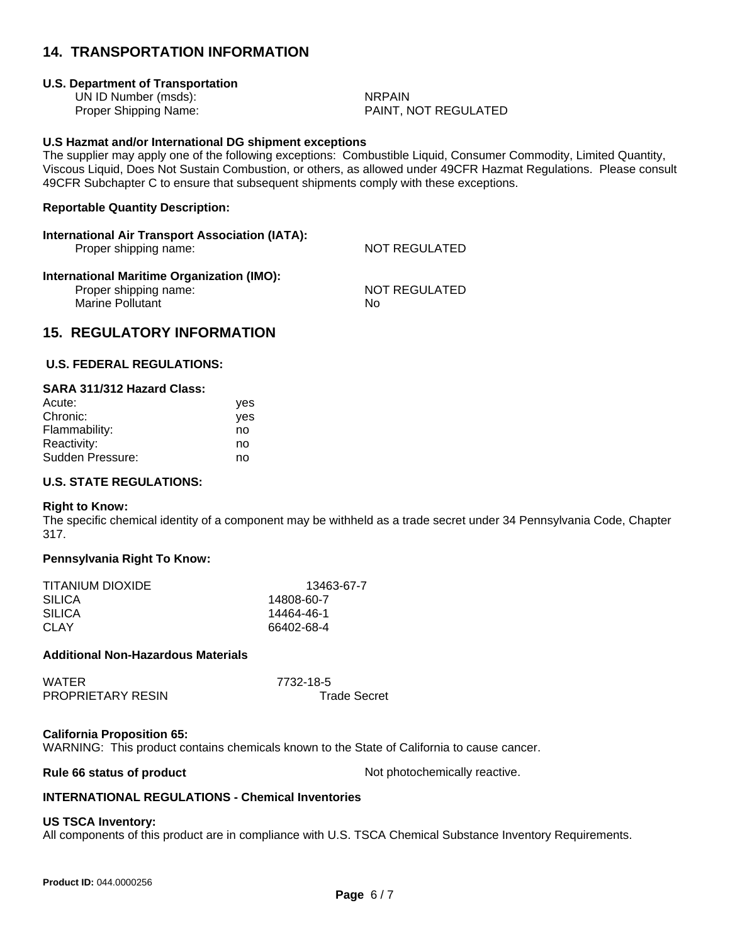## **14. TRANSPORTATION INFORMATION**

### **U.S. Department of Transportation**

UN ID Number (msds): NRPAIN

Proper Shipping Name: PAINT, NOT REGULATED

### **U.S Hazmat and/or International DG shipment exceptions**

The supplier may apply one of the following exceptions: Combustible Liquid, Consumer Commodity, Limited Quantity, Viscous Liquid, Does Not Sustain Combustion, or others, as allowed under 49CFR Hazmat Regulations. Please consult 49CFR Subchapter C to ensure that subsequent shipments comply with these exceptions.

### **Reportable Quantity Description:**

### **International Air Transport Association (IATA):**

Proper shipping name: NOT REGULATED

#### **International Maritime Organization (IMO):** Proper shipping name: NOT REGULATED

Marine Pollutant No

## **15. REGULATORY INFORMATION**

### **U.S. FEDERAL REGULATIONS:**

| SARA 311/312 Hazard Class: |     |
|----------------------------|-----|
| Acute:                     | ves |
| Chronic:                   | yes |
| Flammability:              | no  |
| Reactivity:                | no  |

Sudden Pressure: no

### **U.S. STATE REGULATIONS:**

#### **Right to Know:**

The specific chemical identity of a component may be withheld as a trade secret under 34 Pennsylvania Code, Chapter 317.

### **Pennsylvania Right To Know:**

| 13463-67-7 |
|------------|
| 14808-60-7 |
| 14464-46-1 |
| 66402-68-4 |
|            |

#### **Additional Non-Hazardous Materials**

| WATER                    | 7732-18-5           |
|--------------------------|---------------------|
| <b>PROPRIETARY RESIN</b> | <b>Trade Secret</b> |

### **California Proposition 65:**

WARNING: This product contains chemicals known to the State of California to cause cancer.

**Rule 66 status of product Not photochemically reactive.** 

### **INTERNATIONAL REGULATIONS - Chemical Inventories**

### **US TSCA Inventory:**

All components of this product are in compliance with U.S. TSCA Chemical Substance Inventory Requirements.